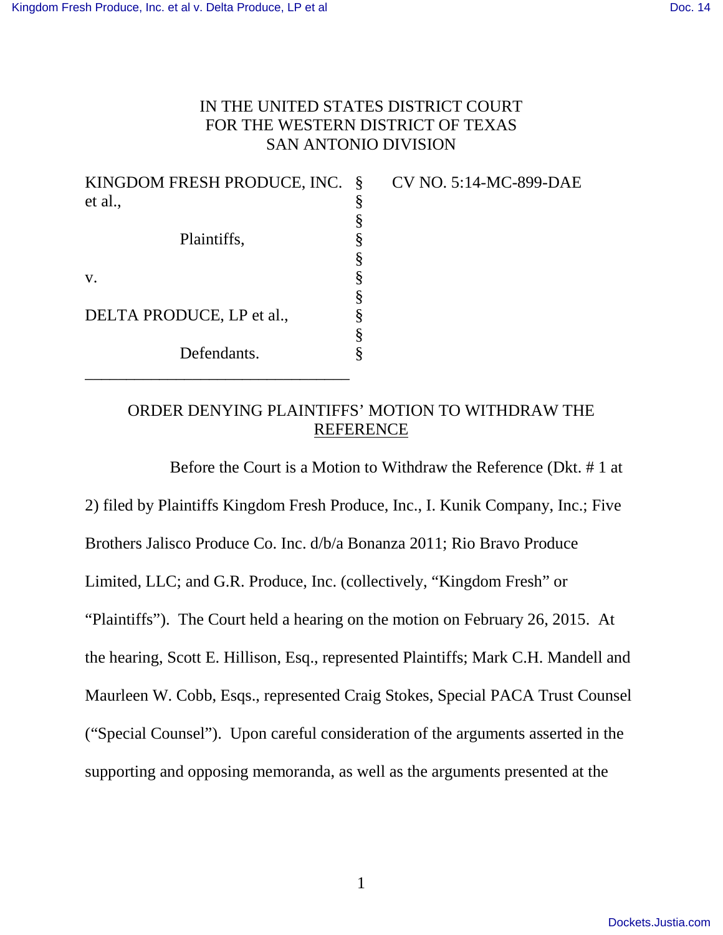## IN THE UNITED STATES DISTRICT COURT FOR THE WESTERN DISTRICT OF TEXAS SAN ANTONIO DIVISION

| KINGDOM FRESH PRODUCE, INC. |   |
|-----------------------------|---|
| et al.,                     | § |
|                             | § |
| Plaintiffs,                 | § |
|                             | § |
| V.                          | § |
|                             | § |
| DELTA PRODUCE, LP et al.,   |   |
|                             | § |
| Defendants.                 |   |
|                             |   |

CV NO. 5:14-MC-899-DAE

## ORDER DENYING PLAINTIFFS' MOTION TO WITHDRAW THE REFERENCE

Before the Court is a Motion to Withdraw the Reference (Dkt. # 1 at 2) filed by Plaintiffs Kingdom Fresh Produce, Inc., I. Kunik Company, Inc.; Five Brothers Jalisco Produce Co. Inc. d/b/a Bonanza 2011; Rio Bravo Produce Limited, LLC; and G.R. Produce, Inc. (collectively, "Kingdom Fresh" or "Plaintiffs"). The Court held a hearing on the motion on February 26, 2015. At the hearing, Scott E. Hillison, Esq., represented Plaintiffs; Mark C.H. Mandell and Maurleen W. Cobb, Esqs., represented Craig Stokes, Special PACA Trust Counsel ("Special Counsel"). Upon careful consideration of the arguments asserted in the supporting and opposing memoranda, as well as the arguments presented at the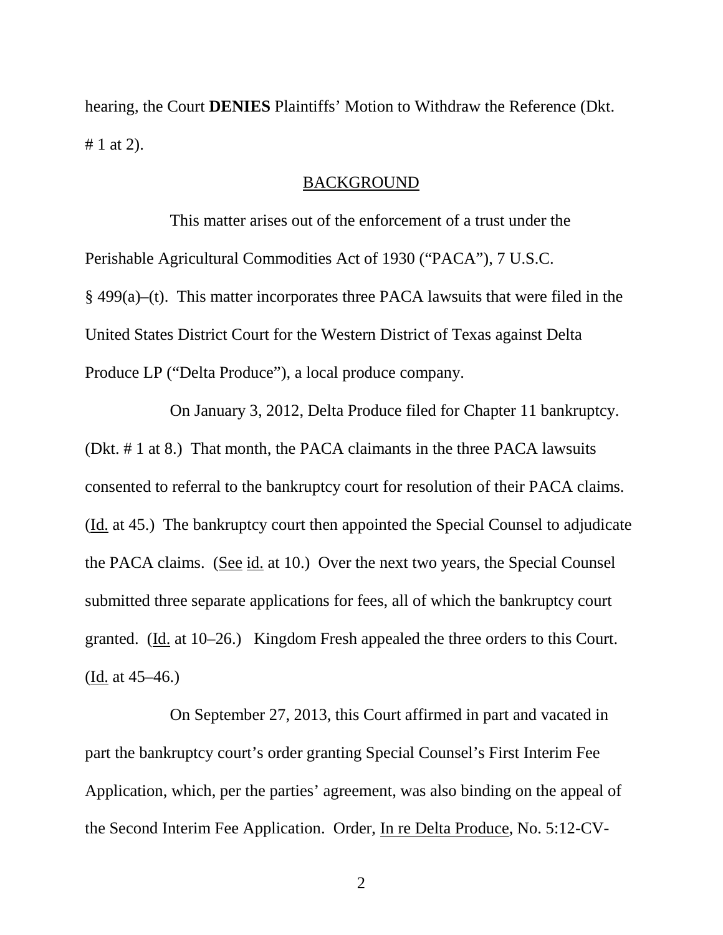hearing, the Court **DENIES** Plaintiffs' Motion to Withdraw the Reference (Dkt. # 1 at 2).

#### BACKGROUND

 This matter arises out of the enforcement of a trust under the Perishable Agricultural Commodities Act of 1930 ("PACA"), 7 U.S.C. § 499(a)–(t). This matter incorporates three PACA lawsuits that were filed in the United States District Court for the Western District of Texas against Delta Produce LP ("Delta Produce"), a local produce company.

On January 3, 2012, Delta Produce filed for Chapter 11 bankruptcy. (Dkt. # 1 at 8.) That month, the PACA claimants in the three PACA lawsuits consented to referral to the bankruptcy court for resolution of their PACA claims. (Id. at 45.) The bankruptcy court then appointed the Special Counsel to adjudicate the PACA claims. (See id. at 10.) Over the next two years, the Special Counsel submitted three separate applications for fees, all of which the bankruptcy court granted. (Id. at 10–26.) Kingdom Fresh appealed the three orders to this Court. (Id. at 45–46.)

On September 27, 2013, this Court affirmed in part and vacated in part the bankruptcy court's order granting Special Counsel's First Interim Fee Application, which, per the parties' agreement, was also binding on the appeal of the Second Interim Fee Application. Order, In re Delta Produce, No. 5:12-CV-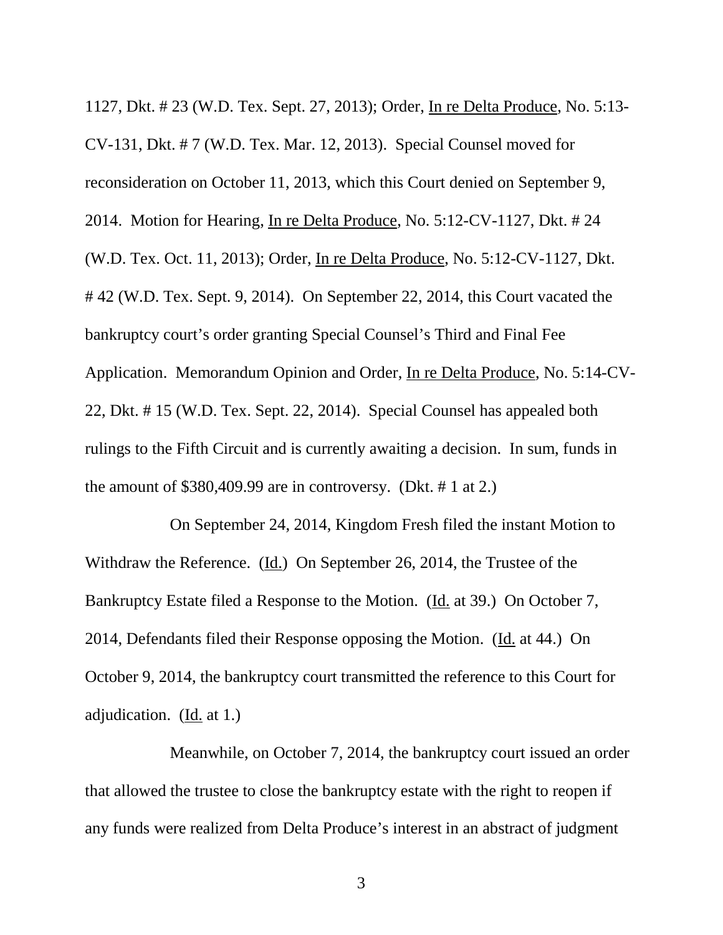1127, Dkt. # 23 (W.D. Tex. Sept. 27, 2013); Order, In re Delta Produce, No. 5:13- CV-131, Dkt. # 7 (W.D. Tex. Mar. 12, 2013). Special Counsel moved for reconsideration on October 11, 2013, which this Court denied on September 9, 2014. Motion for Hearing, In re Delta Produce, No. 5:12-CV-1127, Dkt. # 24 (W.D. Tex. Oct. 11, 2013); Order, In re Delta Produce, No. 5:12-CV-1127, Dkt. # 42 (W.D. Tex. Sept. 9, 2014). On September 22, 2014, this Court vacated the bankruptcy court's order granting Special Counsel's Third and Final Fee Application. Memorandum Opinion and Order, In re Delta Produce, No. 5:14-CV-22, Dkt. # 15 (W.D. Tex. Sept. 22, 2014). Special Counsel has appealed both rulings to the Fifth Circuit and is currently awaiting a decision. In sum, funds in the amount of \$380,409.99 are in controversy. (Dkt. # 1 at 2.)

On September 24, 2014, Kingdom Fresh filed the instant Motion to Withdraw the Reference. (Id.) On September 26, 2014, the Trustee of the Bankruptcy Estate filed a Response to the Motion. (Id. at 39.) On October 7, 2014, Defendants filed their Response opposing the Motion. (Id. at 44.) On October 9, 2014, the bankruptcy court transmitted the reference to this Court for adjudication. (Id. at 1.)

Meanwhile, on October 7, 2014, the bankruptcy court issued an order that allowed the trustee to close the bankruptcy estate with the right to reopen if any funds were realized from Delta Produce's interest in an abstract of judgment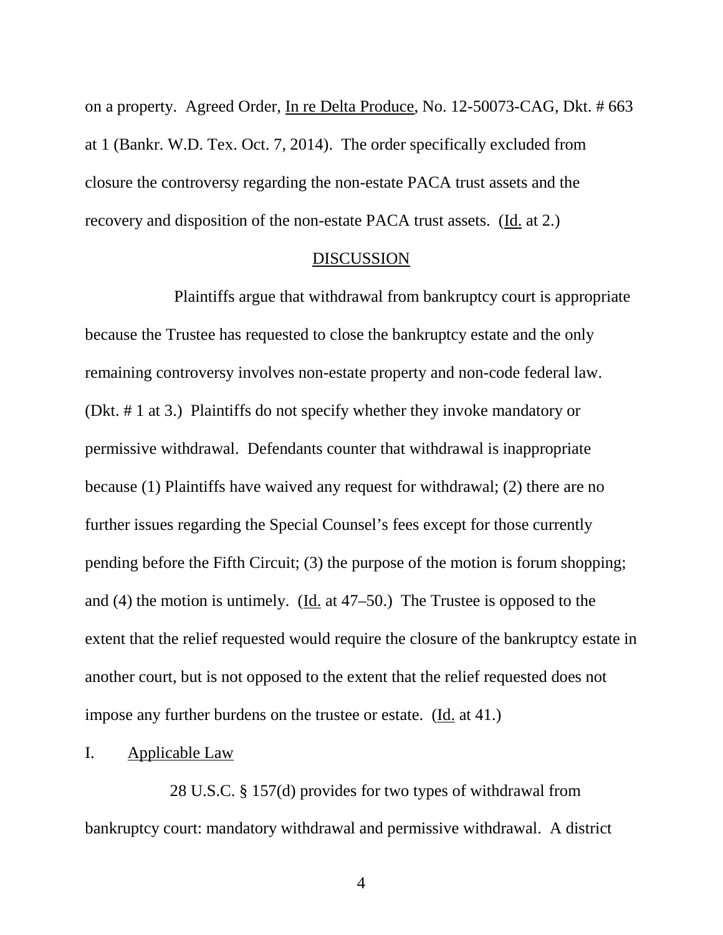on a property. Agreed Order, In re Delta Produce, No. 12-50073-CAG, Dkt. # 663 at 1 (Bankr. W.D. Tex. Oct. 7, 2014). The order specifically excluded from closure the controversy regarding the non-estate PACA trust assets and the recovery and disposition of the non-estate PACA trust assets. (Id. at 2.)

#### DISCUSSION

 Plaintiffs argue that withdrawal from bankruptcy court is appropriate because the Trustee has requested to close the bankruptcy estate and the only remaining controversy involves non-estate property and non-code federal law. (Dkt. # 1 at 3.) Plaintiffs do not specify whether they invoke mandatory or permissive withdrawal. Defendants counter that withdrawal is inappropriate because (1) Plaintiffs have waived any request for withdrawal; (2) there are no further issues regarding the Special Counsel's fees except for those currently pending before the Fifth Circuit; (3) the purpose of the motion is forum shopping; and (4) the motion is untimely. (Id. at 47–50.) The Trustee is opposed to the extent that the relief requested would require the closure of the bankruptcy estate in another court, but is not opposed to the extent that the relief requested does not impose any further burdens on the trustee or estate. (Id. at 41.)

#### I. Applicable Law

28 U.S.C. § 157(d) provides for two types of withdrawal from bankruptcy court: mandatory withdrawal and permissive withdrawal. A district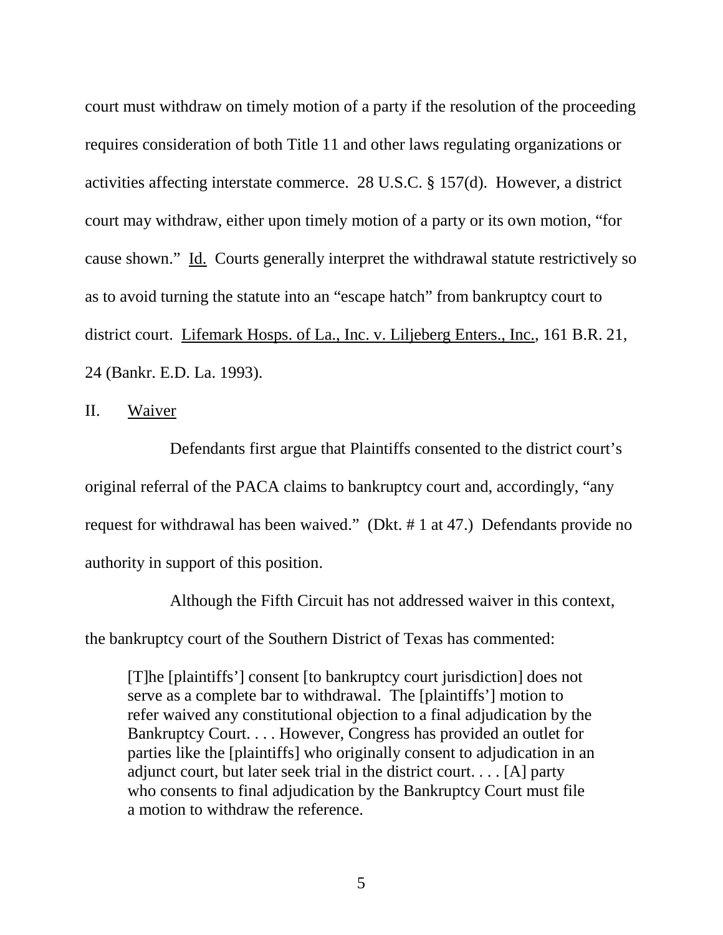court must withdraw on timely motion of a party if the resolution of the proceeding requires consideration of both Title 11 and other laws regulating organizations or activities affecting interstate commerce. 28 U.S.C. § 157(d). However, a district court may withdraw, either upon timely motion of a party or its own motion, "for cause shown." Id. Courts generally interpret the withdrawal statute restrictively so as to avoid turning the statute into an "escape hatch" from bankruptcy court to district court. Lifemark Hosps. of La., Inc. v. Liljeberg Enters., Inc., 161 B.R. 21, 24 (Bankr. E.D. La. 1993).

II. Waiver

Defendants first argue that Plaintiffs consented to the district court's original referral of the PACA claims to bankruptcy court and, accordingly, "any request for withdrawal has been waived." (Dkt. # 1 at 47.) Defendants provide no authority in support of this position.

Although the Fifth Circuit has not addressed waiver in this context, the bankruptcy court of the Southern District of Texas has commented:

[T]he [plaintiffs'] consent [to bankruptcy court jurisdiction] does not serve as a complete bar to withdrawal. The [plaintiffs'] motion to refer waived any constitutional objection to a final adjudication by the Bankruptcy Court. . . . However, Congress has provided an outlet for parties like the [plaintiffs] who originally consent to adjudication in an adjunct court, but later seek trial in the district court. . . . [A] party who consents to final adjudication by the Bankruptcy Court must file a motion to withdraw the reference.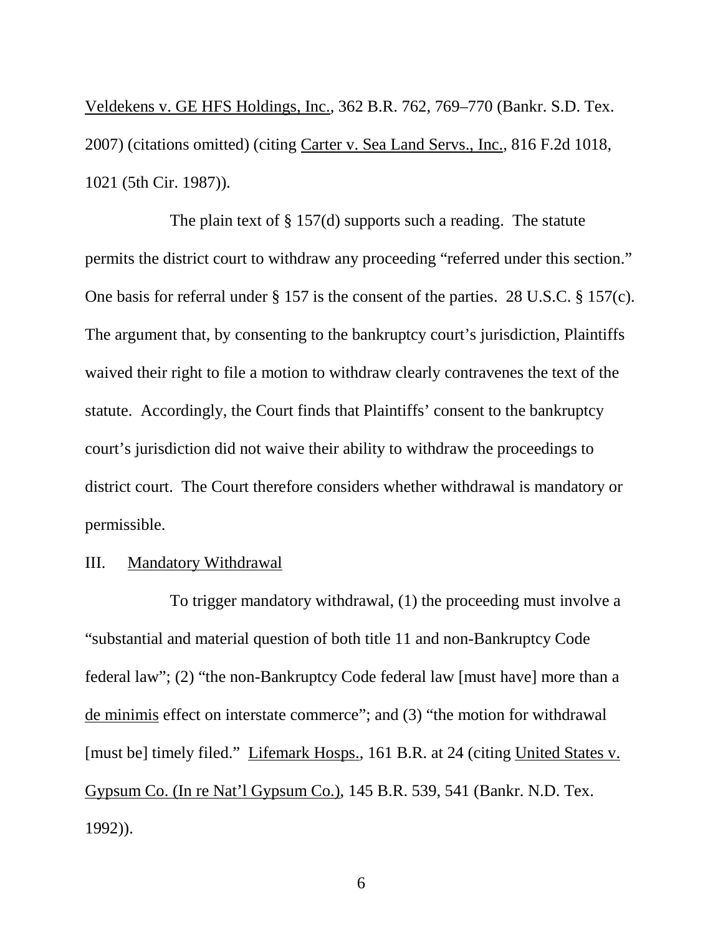Veldekens v. GE HFS Holdings, Inc., 362 B.R. 762, 769–770 (Bankr. S.D. Tex. 2007) (citations omitted) (citing Carter v. Sea Land Servs., Inc., 816 F.2d 1018, 1021 (5th Cir. 1987)).

The plain text of § 157(d) supports such a reading. The statute permits the district court to withdraw any proceeding "referred under this section." One basis for referral under § 157 is the consent of the parties. 28 U.S.C. § 157(c). The argument that, by consenting to the bankruptcy court's jurisdiction, Plaintiffs waived their right to file a motion to withdraw clearly contravenes the text of the statute. Accordingly, the Court finds that Plaintiffs' consent to the bankruptcy court's jurisdiction did not waive their ability to withdraw the proceedings to district court. The Court therefore considers whether withdrawal is mandatory or permissible.

#### III. Mandatory Withdrawal

To trigger mandatory withdrawal, (1) the proceeding must involve a "substantial and material question of both title 11 and non-Bankruptcy Code federal law"; (2) "the non-Bankruptcy Code federal law [must have] more than a de minimis effect on interstate commerce"; and (3) "the motion for withdrawal [must be] timely filed." Lifemark Hosps., 161 B.R. at 24 (citing United States v. Gypsum Co. (In re Nat'l Gypsum Co.), 145 B.R. 539, 541 (Bankr. N.D. Tex. 1992)).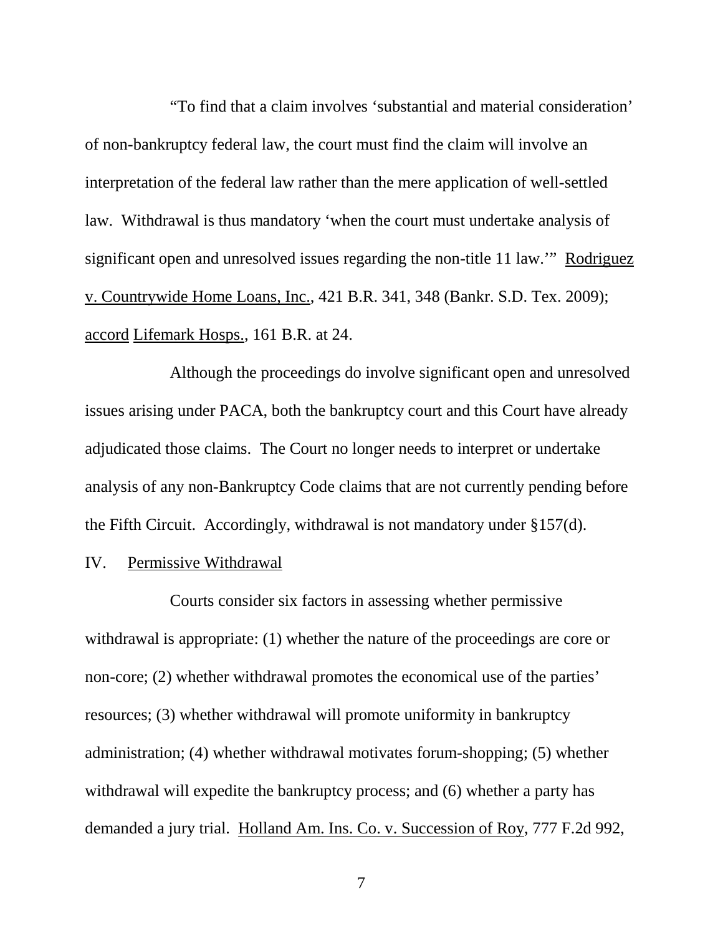"To find that a claim involves 'substantial and material consideration' of non-bankruptcy federal law, the court must find the claim will involve an interpretation of the federal law rather than the mere application of well-settled law. Withdrawal is thus mandatory 'when the court must undertake analysis of significant open and unresolved issues regarding the non-title 11 law.'" Rodriguez v. Countrywide Home Loans, Inc., 421 B.R. 341, 348 (Bankr. S.D. Tex. 2009); accord Lifemark Hosps., 161 B.R. at 24.

Although the proceedings do involve significant open and unresolved issues arising under PACA, both the bankruptcy court and this Court have already adjudicated those claims. The Court no longer needs to interpret or undertake analysis of any non-Bankruptcy Code claims that are not currently pending before the Fifth Circuit. Accordingly, withdrawal is not mandatory under §157(d).

#### IV. Permissive Withdrawal

Courts consider six factors in assessing whether permissive withdrawal is appropriate: (1) whether the nature of the proceedings are core or non-core; (2) whether withdrawal promotes the economical use of the parties' resources; (3) whether withdrawal will promote uniformity in bankruptcy administration; (4) whether withdrawal motivates forum-shopping; (5) whether withdrawal will expedite the bankruptcy process; and (6) whether a party has demanded a jury trial. Holland Am. Ins. Co. v. Succession of Roy, 777 F.2d 992,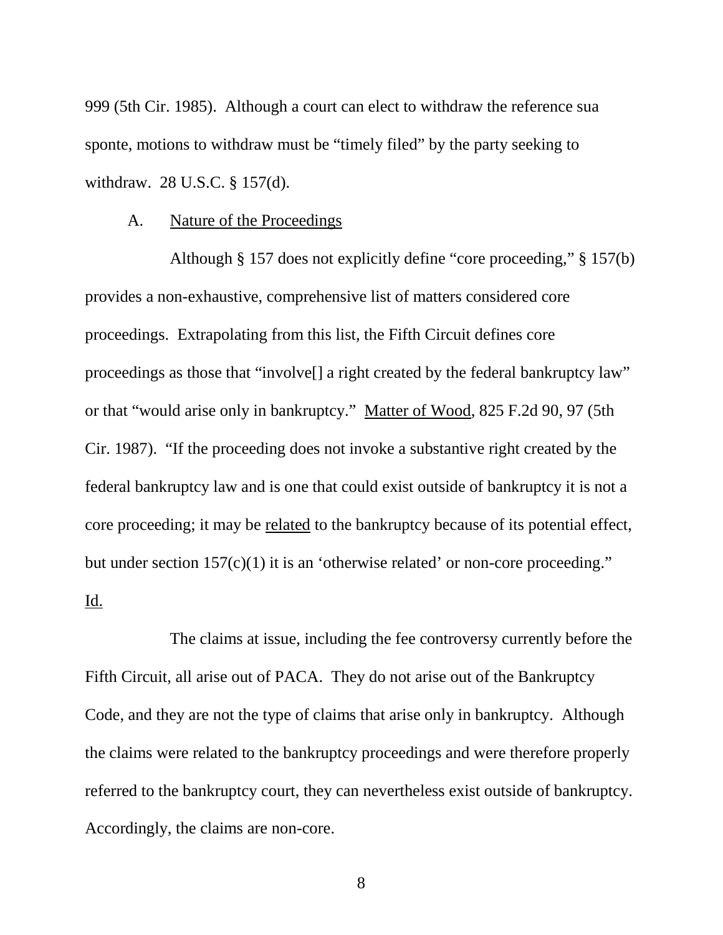999 (5th Cir. 1985). Although a court can elect to withdraw the reference sua sponte, motions to withdraw must be "timely filed" by the party seeking to withdraw. 28 U.S.C. § 157(d).

#### A. Nature of the Proceedings

Although § 157 does not explicitly define "core proceeding," § 157(b) provides a non-exhaustive, comprehensive list of matters considered core proceedings. Extrapolating from this list, the Fifth Circuit defines core proceedings as those that "involve<sup>[]</sup> a right created by the federal bankruptcy law" or that "would arise only in bankruptcy." Matter of Wood, 825 F.2d 90, 97 (5th Cir. 1987). "If the proceeding does not invoke a substantive right created by the federal bankruptcy law and is one that could exist outside of bankruptcy it is not a core proceeding; it may be related to the bankruptcy because of its potential effect, but under section 157(c)(1) it is an 'otherwise related' or non-core proceeding." Id.

The claims at issue, including the fee controversy currently before the Fifth Circuit, all arise out of PACA. They do not arise out of the Bankruptcy Code, and they are not the type of claims that arise only in bankruptcy. Although the claims were related to the bankruptcy proceedings and were therefore properly referred to the bankruptcy court, they can nevertheless exist outside of bankruptcy. Accordingly, the claims are non-core.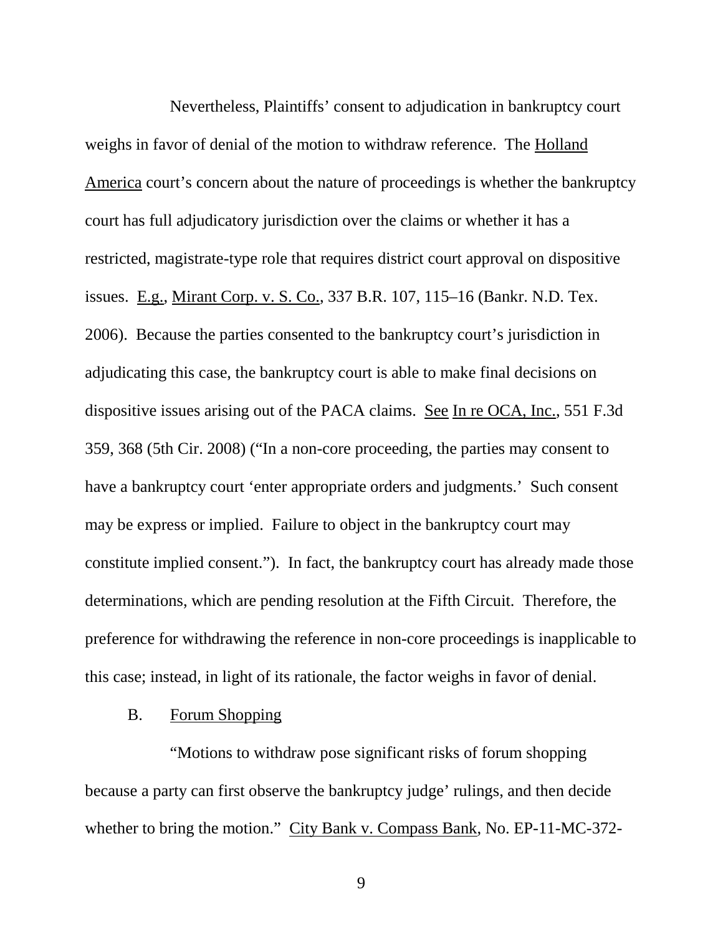Nevertheless, Plaintiffs' consent to adjudication in bankruptcy court weighs in favor of denial of the motion to withdraw reference. The Holland America court's concern about the nature of proceedings is whether the bankruptcy court has full adjudicatory jurisdiction over the claims or whether it has a restricted, magistrate-type role that requires district court approval on dispositive issues. E.g., Mirant Corp. v. S. Co., 337 B.R. 107, 115–16 (Bankr. N.D. Tex. 2006). Because the parties consented to the bankruptcy court's jurisdiction in adjudicating this case, the bankruptcy court is able to make final decisions on dispositive issues arising out of the PACA claims. See In re OCA, Inc., 551 F.3d 359, 368 (5th Cir. 2008) ("In a non-core proceeding, the parties may consent to have a bankruptcy court 'enter appropriate orders and judgments.' Such consent may be express or implied. Failure to object in the bankruptcy court may constitute implied consent."). In fact, the bankruptcy court has already made those determinations, which are pending resolution at the Fifth Circuit. Therefore, the preference for withdrawing the reference in non-core proceedings is inapplicable to this case; instead, in light of its rationale, the factor weighs in favor of denial.

### B. Forum Shopping

"Motions to withdraw pose significant risks of forum shopping because a party can first observe the bankruptcy judge' rulings, and then decide whether to bring the motion." City Bank v. Compass Bank, No. EP-11-MC-372-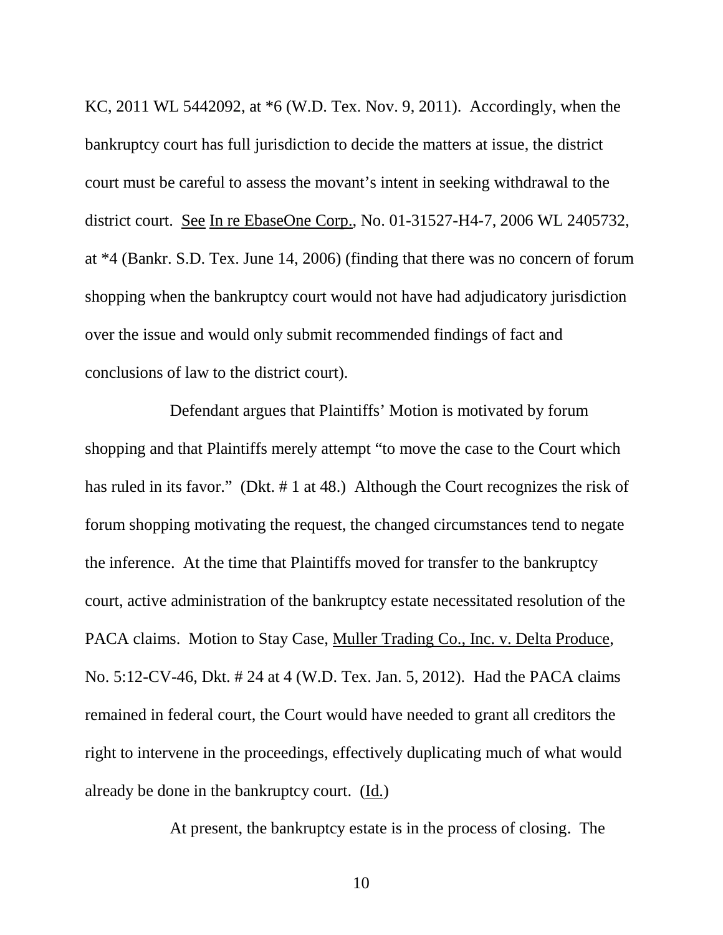KC, 2011 WL 5442092, at \*6 (W.D. Tex. Nov. 9, 2011). Accordingly, when the bankruptcy court has full jurisdiction to decide the matters at issue, the district court must be careful to assess the movant's intent in seeking withdrawal to the district court. See In re EbaseOne Corp., No. 01-31527-H4-7, 2006 WL 2405732, at \*4 (Bankr. S.D. Tex. June 14, 2006) (finding that there was no concern of forum shopping when the bankruptcy court would not have had adjudicatory jurisdiction over the issue and would only submit recommended findings of fact and conclusions of law to the district court).

Defendant argues that Plaintiffs' Motion is motivated by forum shopping and that Plaintiffs merely attempt "to move the case to the Court which has ruled in its favor." (Dkt. # 1 at 48.) Although the Court recognizes the risk of forum shopping motivating the request, the changed circumstances tend to negate the inference. At the time that Plaintiffs moved for transfer to the bankruptcy court, active administration of the bankruptcy estate necessitated resolution of the PACA claims. Motion to Stay Case, Muller Trading Co., Inc. v. Delta Produce, No. 5:12-CV-46, Dkt. # 24 at 4 (W.D. Tex. Jan. 5, 2012). Had the PACA claims remained in federal court, the Court would have needed to grant all creditors the right to intervene in the proceedings, effectively duplicating much of what would already be done in the bankruptcy court. (Id.)

At present, the bankruptcy estate is in the process of closing. The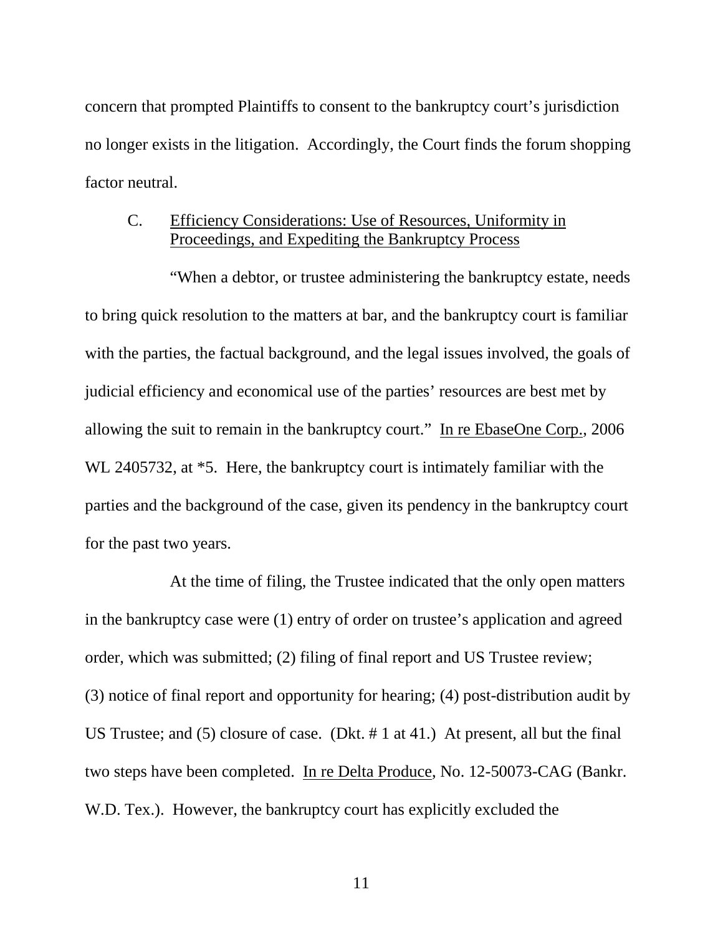concern that prompted Plaintiffs to consent to the bankruptcy court's jurisdiction no longer exists in the litigation. Accordingly, the Court finds the forum shopping factor neutral.

## C. Efficiency Considerations: Use of Resources, Uniformity in Proceedings, and Expediting the Bankruptcy Process

"When a debtor, or trustee administering the bankruptcy estate, needs to bring quick resolution to the matters at bar, and the bankruptcy court is familiar with the parties, the factual background, and the legal issues involved, the goals of judicial efficiency and economical use of the parties' resources are best met by allowing the suit to remain in the bankruptcy court." In re EbaseOne Corp., 2006 WL 2405732, at  $*5$ . Here, the bankruptcy court is intimately familiar with the parties and the background of the case, given its pendency in the bankruptcy court for the past two years.

At the time of filing, the Trustee indicated that the only open matters in the bankruptcy case were (1) entry of order on trustee's application and agreed order, which was submitted; (2) filing of final report and US Trustee review; (3) notice of final report and opportunity for hearing; (4) post-distribution audit by US Trustee; and (5) closure of case. (Dkt. # 1 at 41.) At present, all but the final two steps have been completed. In re Delta Produce, No. 12-50073-CAG (Bankr. W.D. Tex.). However, the bankruptcy court has explicitly excluded the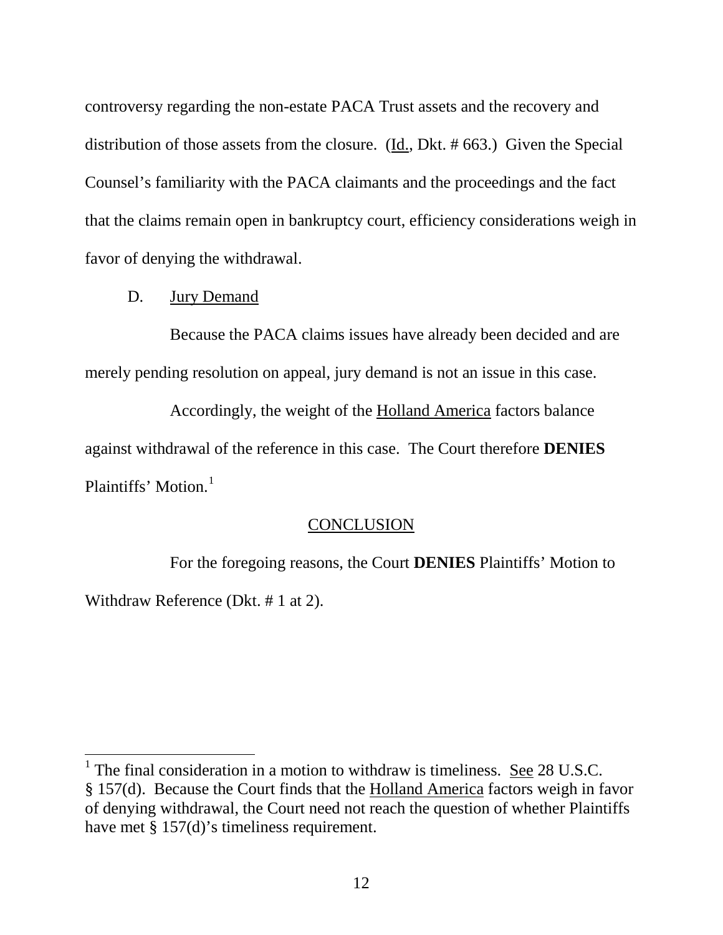controversy regarding the non-estate PACA Trust assets and the recovery and distribution of those assets from the closure. (Id., Dkt. # 663.) Given the Special Counsel's familiarity with the PACA claimants and the proceedings and the fact that the claims remain open in bankruptcy court, efficiency considerations weigh in favor of denying the withdrawal.

D. Jury Demand

 $\overline{a}$ 

Because the PACA claims issues have already been decided and are merely pending resolution on appeal, jury demand is not an issue in this case.

Accordingly, the weight of the Holland America factors balance against withdrawal of the reference in this case. The Court therefore **DENIES** Plaintiffs' Motion.<sup>1</sup>

#### **CONCLUSION**

 For the foregoing reasons, the Court **DENIES** Plaintiffs' Motion to Withdraw Reference (Dkt. # 1 at 2).

<sup>&</sup>lt;sup>1</sup> The final consideration in a motion to withdraw is timeliness. <u>See</u> 28 U.S.C. § 157(d). Because the Court finds that the Holland America factors weigh in favor of denying withdrawal, the Court need not reach the question of whether Plaintiffs have met § 157(d)'s timeliness requirement.